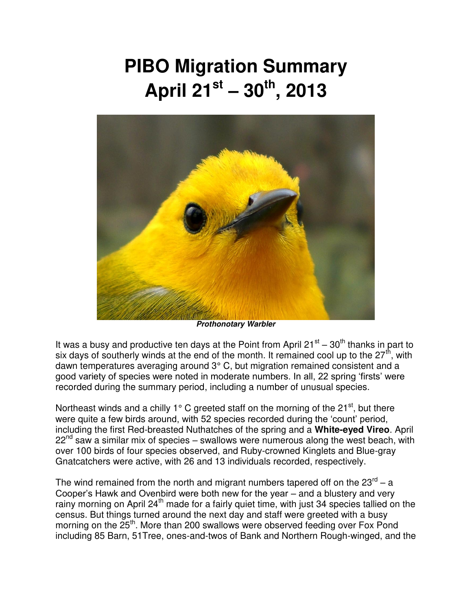## **PIBO Migration Summary April 21st – 30th, 2013**



*Prothonotary Warbler* 

It was a busy and productive ten days at the Point from April 21 $\mathrm{^{st}}$  – 30<sup>th</sup> thanks in part to six days of southerly winds at the end of the month. It remained cool up to the  $27<sup>th</sup>$ , with dawn temperatures averaging around 3° C, but migration remained consistent and a good variety of species were noted in moderate numbers. In all, 22 spring 'firsts' were recorded during the summary period, including a number of unusual species.

Northeast winds and a chilly 1 $\degree$  C greeted staff on the morning of the 21<sup>st</sup>, but there were quite a few birds around, with 52 species recorded during the 'count' period, including the first Red-breasted Nuthatches of the spring and a **White-eyed Vireo**. April  $22<sup>nd</sup>$  saw a similar mix of species – swallows were numerous along the west beach, with over 100 birds of four species observed, and Ruby-crowned Kinglets and Blue-gray Gnatcatchers were active, with 26 and 13 individuals recorded, respectively.

The wind remained from the north and migrant numbers tapered off on the 23 $^{\text{rd}}$  – a Cooper's Hawk and Ovenbird were both new for the year – and a blustery and very rainy morning on April 24<sup>th</sup> made for a fairly quiet time, with just 34 species tallied on the census. But things turned around the next day and staff were greeted with a busy morning on the  $25<sup>th</sup>$ . More than 200 swallows were observed feeding over Fox Pond including 85 Barn, 51Tree, ones-and-twos of Bank and Northern Rough-winged, and the